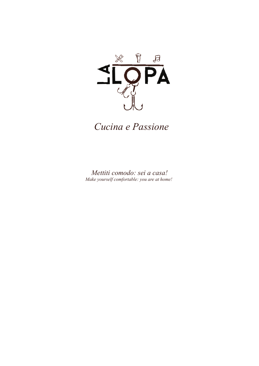

*Cucina e Passione*

*Mettiti comodo: sei a casa! Make yourself comfortable: you are at home!*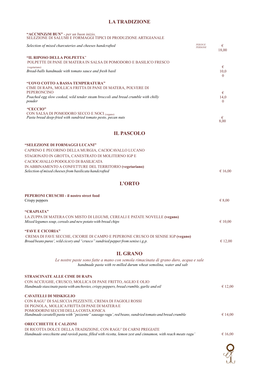# **LA TRADIZIONE**

#### **"ACCMNZèM BUN"** - *per un buon inizio,* SELEZIONE DI SALUMI E FORMAGGI TIPICI DI PRODUZIONE ARTIGIANALE

| Selection of mixed charcuteries and cheeses handcrafted                                                                                                                                                             | <b>PERDUE</b><br><b>PERSONE</b> | €<br>18.00 |
|---------------------------------------------------------------------------------------------------------------------------------------------------------------------------------------------------------------------|---------------------------------|------------|
| "IL RIPOSO DELLA POLPETTA"<br>POLPETTE DI PANE DI MATERA IN SALSA DI POMODORO E BASILICO FRESCO<br>(vegetariano)<br>Bread-balls handmade with tomato sauce and fresh basil                                          |                                 | €<br>10,0  |
| "UOVO COTTO A BASSA TEMPERATURA"<br>CIME DI RAPA, MOLLICA FRITTA DI PANE DI MATERA, POLVERE DI<br><b>PEPERONCINO</b><br>Poached egg slow cooked, wild tender steam broccoli and bread crumble with chilly<br>pouder |                                 | €<br>14,0  |
| "CECCIO"<br>CON SALSA DI POMODORO SECCO E NOCI (vegano)<br>Pasta bread deep-fried with sundried tomato pesto, pecan nuts                                                                                            |                                 |            |

# **IL PASCOLO**

| "SELEZIONE DI FORMAGGI LUCANI"                           |         |
|----------------------------------------------------------|---------|
| CAPRINO E PECORINO DELLA MURGIA, CACIOCAVALLO LUCANO     |         |
| STAGIONATO IN GROTTA, CANESTRATO DI MOLITERNO IGP E      |         |
| CACIOCAVALLO PODOLICO DI BASILICATA                      |         |
| IN ABBINAMENTO A CONFETTURE DEL TERRITORIO (vegetariano) |         |
| Selection of mixed cheeses from basilicata handcrafted   | € 16.00 |
|                                                          |         |

### **L'ORTO**

| <b>PEPERONI CRUSCHI - il nostro street food</b>                                                                                                           |                 |  |
|-----------------------------------------------------------------------------------------------------------------------------------------------------------|-----------------|--|
| Crispy peppers                                                                                                                                            | $\epsilon$ 8.00 |  |
| "CRAPIATA"                                                                                                                                                |                 |  |
| LA ZUPPA DI MATERA CON MISTO DI LEGUMI, CEREALI E PATATE NOVELLE (vegano)                                                                                 |                 |  |
| Mixed legumes soup, cereals and new potato with bread chips                                                                                               | € 10,00         |  |
| "FAVE E CICORIA"                                                                                                                                          |                 |  |
| CREMA DI FAVE SECCHE, CICORIE DI CAMPO E PEPERONE CRUSCO DI SENISE IGP (vegano)                                                                           |                 |  |
| Broad beans puree', wild cicory and "crusco" sundried pepper from senise i.g.p.                                                                           | € 12,00         |  |
| <b>IL GRANO</b>                                                                                                                                           |                 |  |
| Le nostre paste sono fatte a mano con semola rimacinata di grano duro, acqua e sale<br>handmade pasta with re-milled durum wheat semolina, water and salt |                 |  |
| <b>STRASCINATE ALLE CIME DI RAPA</b>                                                                                                                      |                 |  |
| CON ACCIUGHE, CRUSCO, MOLLICA DI PANE FRITTO, AGLIO E OLIO                                                                                                |                 |  |
| Handmade stascinate pasta with anchovies, crispy peppers, bread crumble, garlic and oil                                                                   | € 12,00         |  |
| <b>CAVATELLI DI MISKIGLIO</b>                                                                                                                             |                 |  |
| CON RAGU' DI SALSICCIA PEZZENTE, CREMA DI FAGIOLI ROSSI                                                                                                   |                 |  |
| DI PIGNOLA. MOLLICA FRITTA DI PANE DI MATERA E                                                                                                            |                 |  |
| POMODORINI SECCHI DELLA COSTA JONICA                                                                                                                      |                 |  |
| Handmade cavatelli pasta with "pezzente" sausage ragu', red beans, sundried tomato and bread crumble                                                      | € 14,00         |  |
| <b>ORECCHIETTE E CALZONI</b>                                                                                                                              |                 |  |
| DI RICOTTA DOLCE DELLA TRADIZIONE, CON RAGU' DI CARNI PREGIATE                                                                                            |                 |  |
| Handmade orecchiette and ravioli pasta, filled with ricotta, lemon zest and cinnamon, with reach meats ragu'                                              | € 16.00         |  |